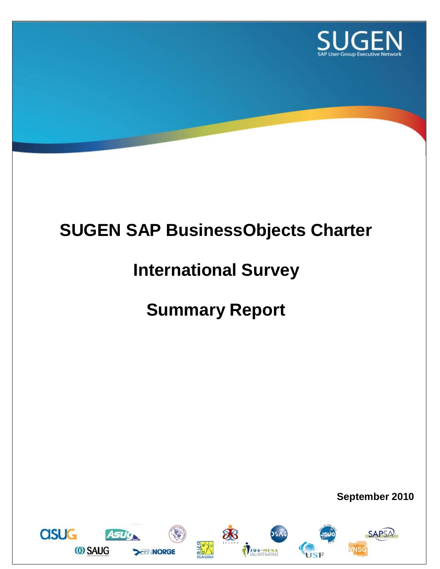

# **SUGEN SAP BusinessObjects Charter**

# **International Survey**

# **Summary Report**

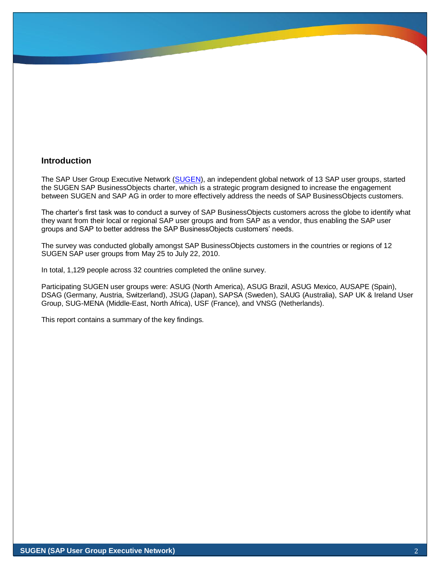### **Introduction**

The SAP User Group Executive Network [\(SUGEN\)](http://www.sugen.net/), an independent global network of 13 SAP user groups, started the SUGEN SAP BusinessObjects charter, which is a strategic program designed to increase the engagement between SUGEN and SAP AG in order to more effectively address the needs of SAP BusinessObjects customers.

The charter's first task was to conduct a survey of SAP BusinessObjects customers across the globe to identify what they want from their local or regional SAP user groups and from SAP as a vendor, thus enabling the SAP user groups and SAP to better address the SAP BusinessObjects customers' needs.

The survey was conducted globally amongst SAP BusinessObjects customers in the countries or regions of 12 SUGEN SAP user groups from May 25 to July 22, 2010.

In total, 1,129 people across 32 countries completed the online survey.

Participating SUGEN user groups were: ASUG (North America), ASUG Brazil, ASUG Mexico, AUSAPE (Spain), DSAG (Germany, Austria, Switzerland), JSUG (Japan), SAPSA (Sweden), SAUG (Australia), SAP UK & Ireland User Group, SUG-MENA (Middle-East, North Africa), USF (France), and VNSG (Netherlands).

This report contains a summary of the key findings.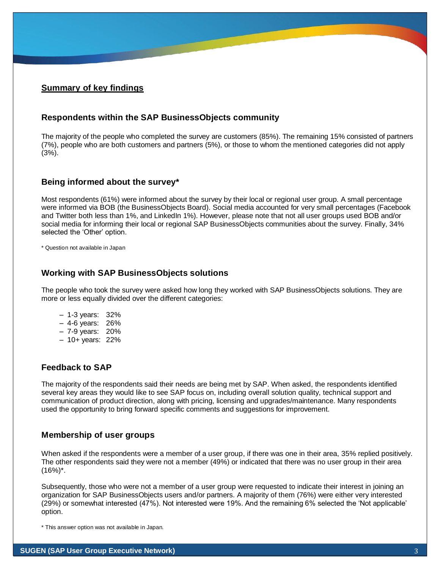# **Summary of key findings**

#### **Respondents within the SAP BusinessObjects community**

The majority of the people who completed the survey are customers (85%). The remaining 15% consisted of partners (7%), people who are both customers and partners (5%), or those to whom the mentioned categories did not apply (3%).

#### **Being informed about the survey\***

Most respondents (61%) were informed about the survey by their local or regional user group. A small percentage were informed via BOB (the BusinessObjects Board). Social media accounted for very small percentages (Facebook and Twitter both less than 1%, and LinkedIn 1%). However, please note that not all user groups used BOB and/or social media for informing their local or regional SAP BusinessObjects communities about the survey. Finally, 34% selected the 'Other' option.

\* Question not available in Japan

#### **Working with SAP BusinessObjects solutions**

The people who took the survey were asked how long they worked with SAP BusinessObjects solutions. They are more or less equally divided over the different categories:

- 1-3 years: 32%
- 4-6 years: 26%
- 7-9 years: 20%
- 10+ years: 22%

### **Feedback to SAP**

The majority of the respondents said their needs are being met by SAP. When asked, the respondents identified several key areas they would like to see SAP focus on, including overall solution quality, technical support and communication of product direction, along with pricing, licensing and upgrades/maintenance. Many respondents used the opportunity to bring forward specific comments and suggestions for improvement.

#### **Membership of user groups**

When asked if the respondents were a member of a user group, if there was one in their area, 35% replied positively. The other respondents said they were not a member (49%) or indicated that there was no user group in their area  $(16\%)^*$ .

Subsequently, those who were not a member of a user group were requested to indicate their interest in joining an organization for SAP BusinessObjects users and/or partners. A majority of them (76%) were either very interested (29%) or somewhat interested (47%). Not interested were 19%. And the remaining 6% selected the 'Not applicable' option.

\* This answer option was not available in Japan.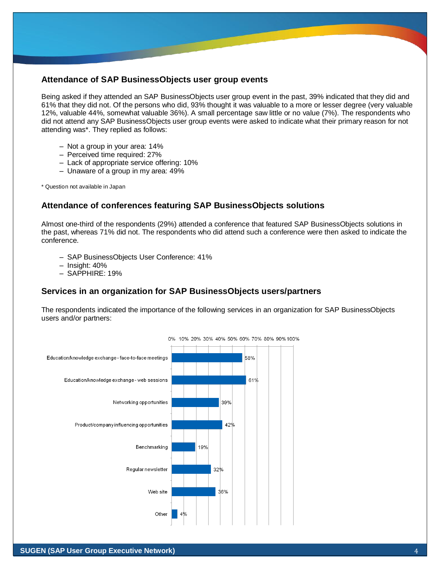#### **Attendance of SAP BusinessObjects user group events**

Being asked if they attended an SAP BusinessObjects user group event in the past, 39% indicated that they did and 61% that they did not. Of the persons who did, 93% thought it was valuable to a more or lesser degree (very valuable 12%, valuable 44%, somewhat valuable 36%). A small percentage saw little or no value (7%). The respondents who did not attend any SAP BusinessObjects user group events were asked to indicate what their primary reason for not attending was\*. They replied as follows:

- Not a group in your area: 14%
- Perceived time required: 27%
- Lack of appropriate service offering: 10%
- Unaware of a group in my area: 49%

\* Question not available in Japan

# **Attendance of conferences featuring SAP BusinessObjects solutions**

Almost one-third of the respondents (29%) attended a conference that featured SAP BusinessObjects solutions in the past, whereas 71% did not. The respondents who did attend such a conference were then asked to indicate the conference.

- SAP BusinessObjects User Conference: 41%
- Insight: 40%
- SAPPHIRE: 19%

### **Services in an organization for SAP BusinessObjects users/partners**

The respondents indicated the importance of the following services in an organization for SAP BusinessObjects users and/or partners: